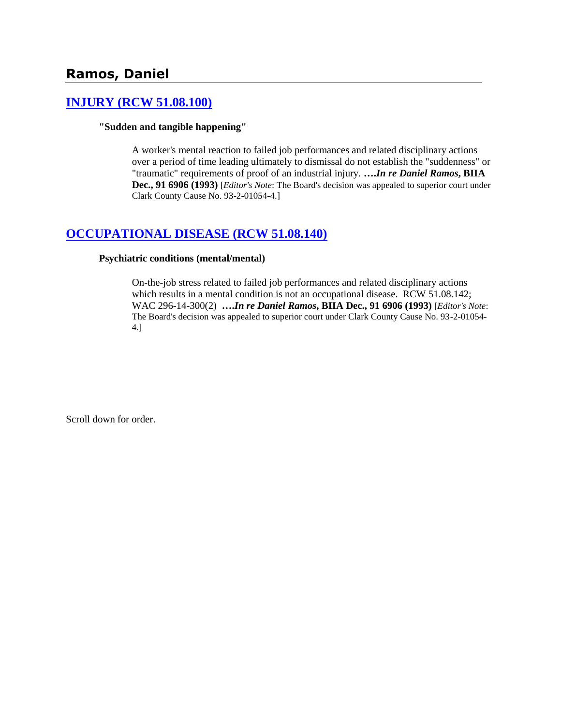# **Ramos, Daniel**

## **[INJURY \(RCW 51.08.100\)](http://www.biia.wa.gov/SDSubjectIndex.html#INJURY)**

### **"Sudden and tangible happening"**

A worker's mental reaction to failed job performances and related disciplinary actions over a period of time leading ultimately to dismissal do not establish the "suddenness" or "traumatic" requirements of proof of an industrial injury. **….***In re Daniel Ramos***, BIIA Dec., 91 6906 (1993)** [*Editor's Note*: The Board's decision was appealed to superior court under Clark County Cause No. 93-2-01054-4.]

### **[OCCUPATIONAL DISEASE \(RCW 51.08.140\)](http://www.biia.wa.gov/SDSubjectIndex.html#OCCUPATIONAL_DISEASE)**

### **Psychiatric conditions (mental/mental)**

On-the-job stress related to failed job performances and related disciplinary actions which results in a mental condition is not an occupational disease. RCW 51.08.142; WAC 296-14-300(2) **….***In re Daniel Ramos***, BIIA Dec., 91 6906 (1993)** [*Editor's Note*: The Board's decision was appealed to superior court under Clark County Cause No. 93-2-01054- 4.]

Scroll down for order.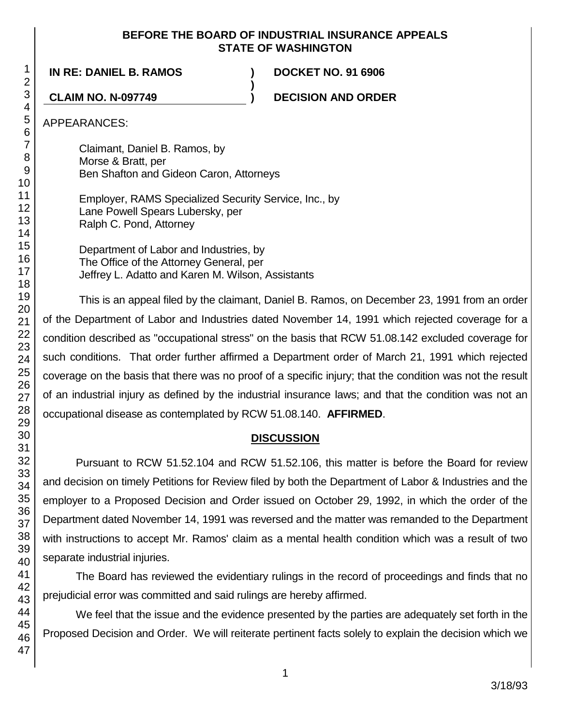### **BEFORE THE BOARD OF INDUSTRIAL INSURANCE APPEALS STATE OF WASHINGTON**

**)**

**IN RE: DANIEL B. RAMOS ) DOCKET NO. 91 6906**

**CLAIM NO. N-097749 ) DECISION AND ORDER**

APPEARANCES:

Claimant, Daniel B. Ramos, by Morse & Bratt, per Ben Shafton and Gideon Caron, Attorneys

Employer, RAMS Specialized Security Service, Inc., by Lane Powell Spears Lubersky, per Ralph C. Pond, Attorney

Department of Labor and Industries, by The Office of the Attorney General, per Jeffrey L. Adatto and Karen M. Wilson, Assistants

This is an appeal filed by the claimant, Daniel B. Ramos, on December 23, 1991 from an order of the Department of Labor and Industries dated November 14, 1991 which rejected coverage for a condition described as "occupational stress" on the basis that RCW 51.08.142 excluded coverage for such conditions. That order further affirmed a Department order of March 21, 1991 which rejected coverage on the basis that there was no proof of a specific injury; that the condition was not the result of an industrial injury as defined by the industrial insurance laws; and that the condition was not an occupational disease as contemplated by RCW 51.08.140. **AFFIRMED**.

## **DISCUSSION**

Pursuant to RCW 51.52.104 and RCW 51.52.106, this matter is before the Board for review and decision on timely Petitions for Review filed by both the Department of Labor & Industries and the employer to a Proposed Decision and Order issued on October 29, 1992, in which the order of the Department dated November 14, 1991 was reversed and the matter was remanded to the Department with instructions to accept Mr. Ramos' claim as a mental health condition which was a result of two separate industrial injuries.

The Board has reviewed the evidentiary rulings in the record of proceedings and finds that no prejudicial error was committed and said rulings are hereby affirmed.

We feel that the issue and the evidence presented by the parties are adequately set forth in the Proposed Decision and Order. We will reiterate pertinent facts solely to explain the decision which we

1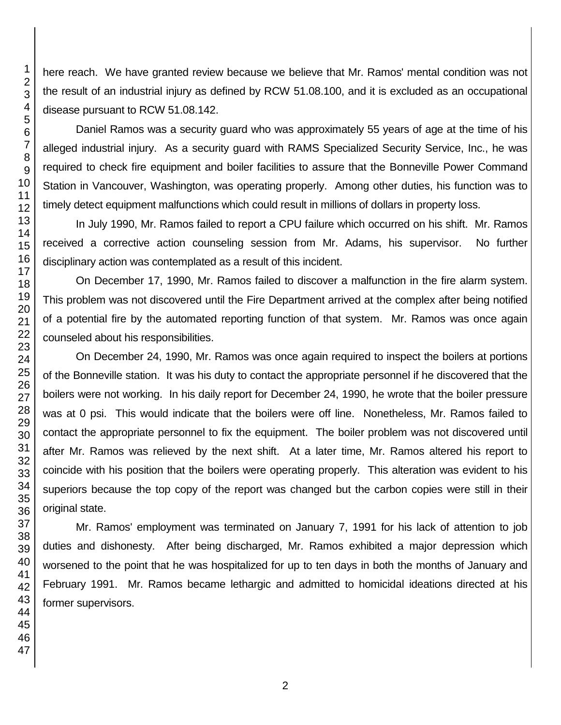here reach. We have granted review because we believe that Mr. Ramos' mental condition was not the result of an industrial injury as defined by RCW 51.08.100, and it is excluded as an occupational disease pursuant to RCW 51.08.142.

Daniel Ramos was a security guard who was approximately 55 years of age at the time of his alleged industrial injury. As a security guard with RAMS Specialized Security Service, Inc., he was required to check fire equipment and boiler facilities to assure that the Bonneville Power Command Station in Vancouver, Washington, was operating properly. Among other duties, his function was to timely detect equipment malfunctions which could result in millions of dollars in property loss.

In July 1990, Mr. Ramos failed to report a CPU failure which occurred on his shift. Mr. Ramos received a corrective action counseling session from Mr. Adams, his supervisor. No further disciplinary action was contemplated as a result of this incident.

On December 17, 1990, Mr. Ramos failed to discover a malfunction in the fire alarm system. This problem was not discovered until the Fire Department arrived at the complex after being notified of a potential fire by the automated reporting function of that system. Mr. Ramos was once again counseled about his responsibilities.

On December 24, 1990, Mr. Ramos was once again required to inspect the boilers at portions of the Bonneville station. It was his duty to contact the appropriate personnel if he discovered that the boilers were not working. In his daily report for December 24, 1990, he wrote that the boiler pressure was at 0 psi. This would indicate that the boilers were off line. Nonetheless, Mr. Ramos failed to contact the appropriate personnel to fix the equipment. The boiler problem was not discovered until after Mr. Ramos was relieved by the next shift. At a later time, Mr. Ramos altered his report to coincide with his position that the boilers were operating properly. This alteration was evident to his superiors because the top copy of the report was changed but the carbon copies were still in their original state.

Mr. Ramos' employment was terminated on January 7, 1991 for his lack of attention to job duties and dishonesty. After being discharged, Mr. Ramos exhibited a major depression which worsened to the point that he was hospitalized for up to ten days in both the months of January and February 1991. Mr. Ramos became lethargic and admitted to homicidal ideations directed at his former supervisors.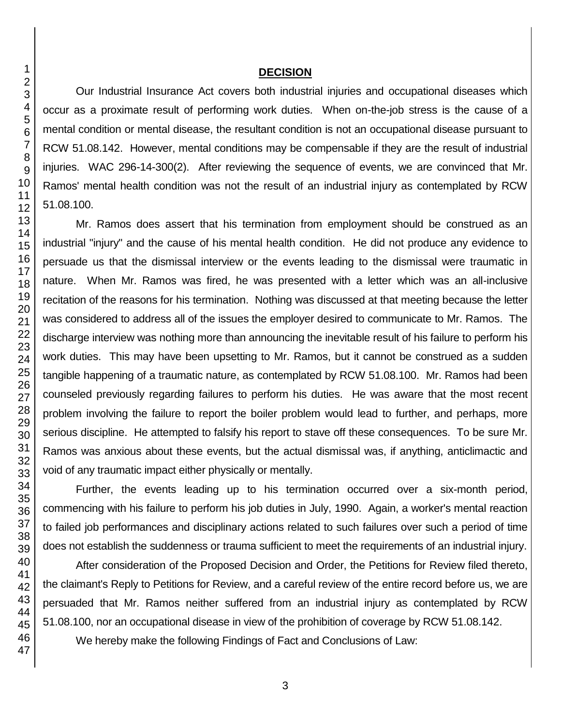### **DECISION**

Our Industrial Insurance Act covers both industrial injuries and occupational diseases which occur as a proximate result of performing work duties. When on-the-job stress is the cause of a mental condition or mental disease, the resultant condition is not an occupational disease pursuant to RCW 51.08.142. However, mental conditions may be compensable if they are the result of industrial injuries. WAC 296-14-300(2). After reviewing the sequence of events, we are convinced that Mr. Ramos' mental health condition was not the result of an industrial injury as contemplated by RCW 51.08.100.

Mr. Ramos does assert that his termination from employment should be construed as an industrial "injury" and the cause of his mental health condition. He did not produce any evidence to persuade us that the dismissal interview or the events leading to the dismissal were traumatic in nature. When Mr. Ramos was fired, he was presented with a letter which was an all-inclusive recitation of the reasons for his termination. Nothing was discussed at that meeting because the letter was considered to address all of the issues the employer desired to communicate to Mr. Ramos. The discharge interview was nothing more than announcing the inevitable result of his failure to perform his work duties. This may have been upsetting to Mr. Ramos, but it cannot be construed as a sudden tangible happening of a traumatic nature, as contemplated by RCW 51.08.100. Mr. Ramos had been counseled previously regarding failures to perform his duties. He was aware that the most recent problem involving the failure to report the boiler problem would lead to further, and perhaps, more serious discipline. He attempted to falsify his report to stave off these consequences. To be sure Mr. Ramos was anxious about these events, but the actual dismissal was, if anything, anticlimactic and void of any traumatic impact either physically or mentally.

Further, the events leading up to his termination occurred over a six-month period, commencing with his failure to perform his job duties in July, 1990. Again, a worker's mental reaction to failed job performances and disciplinary actions related to such failures over such a period of time does not establish the suddenness or trauma sufficient to meet the requirements of an industrial injury.

After consideration of the Proposed Decision and Order, the Petitions for Review filed thereto, the claimant's Reply to Petitions for Review, and a careful review of the entire record before us, we are persuaded that Mr. Ramos neither suffered from an industrial injury as contemplated by RCW 51.08.100, nor an occupational disease in view of the prohibition of coverage by RCW 51.08.142.

We hereby make the following Findings of Fact and Conclusions of Law: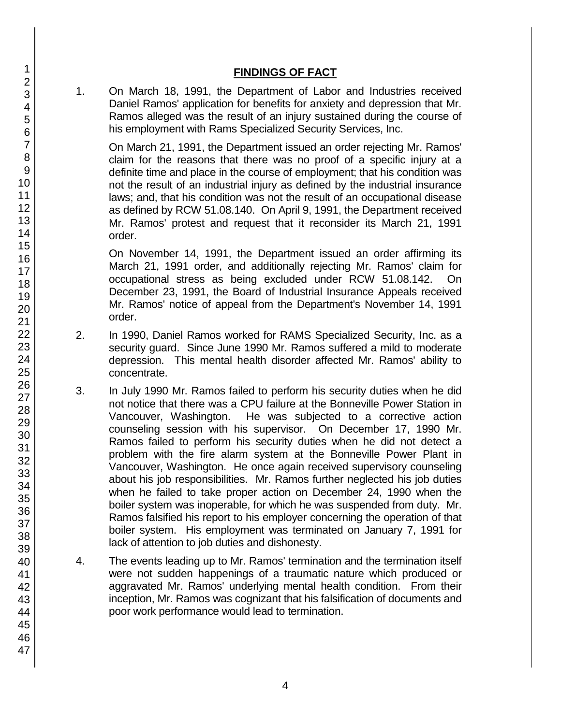## **FINDINGS OF FACT**

1. On March 18, 1991, the Department of Labor and Industries received Daniel Ramos' application for benefits for anxiety and depression that Mr. Ramos alleged was the result of an injury sustained during the course of his employment with Rams Specialized Security Services, Inc.

On March 21, 1991, the Department issued an order rejecting Mr. Ramos' claim for the reasons that there was no proof of a specific injury at a definite time and place in the course of employment; that his condition was not the result of an industrial injury as defined by the industrial insurance laws; and, that his condition was not the result of an occupational disease as defined by RCW 51.08.140. On April 9, 1991, the Department received Mr. Ramos' protest and request that it reconsider its March 21, 1991 order.

On November 14, 1991, the Department issued an order affirming its March 21, 1991 order, and additionally rejecting Mr. Ramos' claim for occupational stress as being excluded under RCW 51.08.142. On December 23, 1991, the Board of Industrial Insurance Appeals received Mr. Ramos' notice of appeal from the Department's November 14, 1991 order.

- 2. In 1990, Daniel Ramos worked for RAMS Specialized Security, Inc. as a security guard. Since June 1990 Mr. Ramos suffered a mild to moderate depression. This mental health disorder affected Mr. Ramos' ability to concentrate.
- 3. In July 1990 Mr. Ramos failed to perform his security duties when he did not notice that there was a CPU failure at the Bonneville Power Station in Vancouver, Washington. He was subjected to a corrective action counseling session with his supervisor. On December 17, 1990 Mr. Ramos failed to perform his security duties when he did not detect a problem with the fire alarm system at the Bonneville Power Plant in Vancouver, Washington. He once again received supervisory counseling about his job responsibilities. Mr. Ramos further neglected his job duties when he failed to take proper action on December 24, 1990 when the boiler system was inoperable, for which he was suspended from duty. Mr. Ramos falsified his report to his employer concerning the operation of that boiler system. His employment was terminated on January 7, 1991 for lack of attention to job duties and dishonesty.
- 4. The events leading up to Mr. Ramos' termination and the termination itself were not sudden happenings of a traumatic nature which produced or aggravated Mr. Ramos' underlying mental health condition. From their inception, Mr. Ramos was cognizant that his falsification of documents and poor work performance would lead to termination.
- 1 2 3 4 5 6 7 8 9 10 11 12 13 14 15 16 17 18 19 20 21 22 23 24 25 26 27 28 29 30 31 32 33 34 35 36 37 38 39 40 41 42 43 44 45 46 47